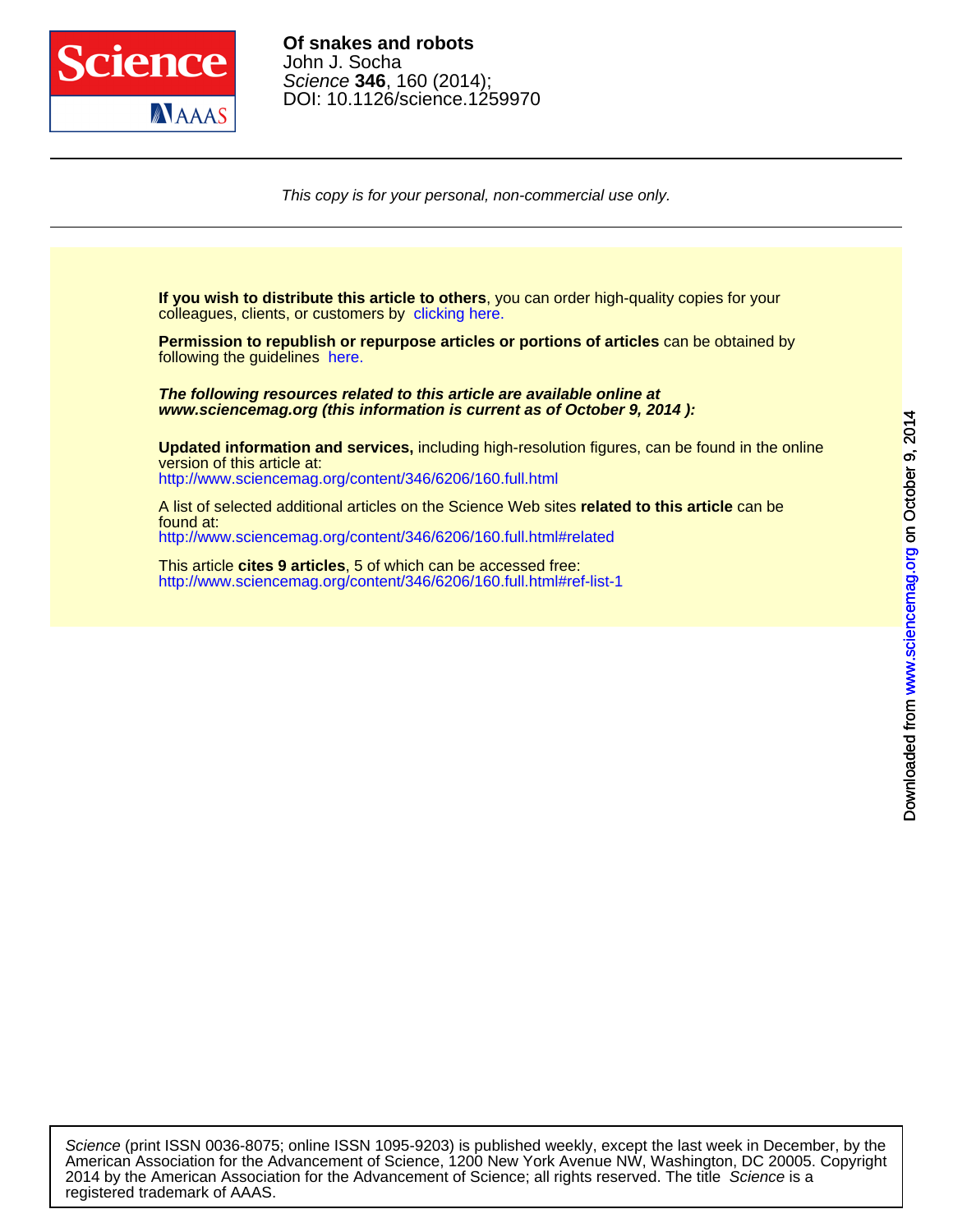

DOI: 10.1126/science.1259970 Science **346**, 160 (2014); John J. Socha **Of snakes and robots**

This copy is for your personal, non-commercial use only.

colleagues, clients, or customers by [clicking here.](http://www.sciencemag.org/about/permissions.dtl) **If you wish to distribute this article to others**, you can order high-quality copies for your

following the guidelines [here.](http://www.sciencemag.org/about/permissions.dtl) **Permission to republish or repurpose articles or portions of articles** can be obtained by

**www.sciencemag.org (this information is current as of October 9, 2014 ): The following resources related to this article are available online at**

<http://www.sciencemag.org/content/346/6206/160.full.html> version of this article at: **Updated information and services,** including high-resolution figures, can be found in the online

<http://www.sciencemag.org/content/346/6206/160.full.html#related> found at: A list of selected additional articles on the Science Web sites **related to this article** can be

<http://www.sciencemag.org/content/346/6206/160.full.html#ref-list-1> This article **cites 9 articles**, 5 of which can be accessed free:

registered trademark of AAAS. 2014 by the American Association for the Advancement of Science; all rights reserved. The title Science is a American Association for the Advancement of Science, 1200 New York Avenue NW, Washington, DC 20005. Copyright Science (print ISSN 0036-8075; online ISSN 1095-9203) is published weekly, except the last week in December, by the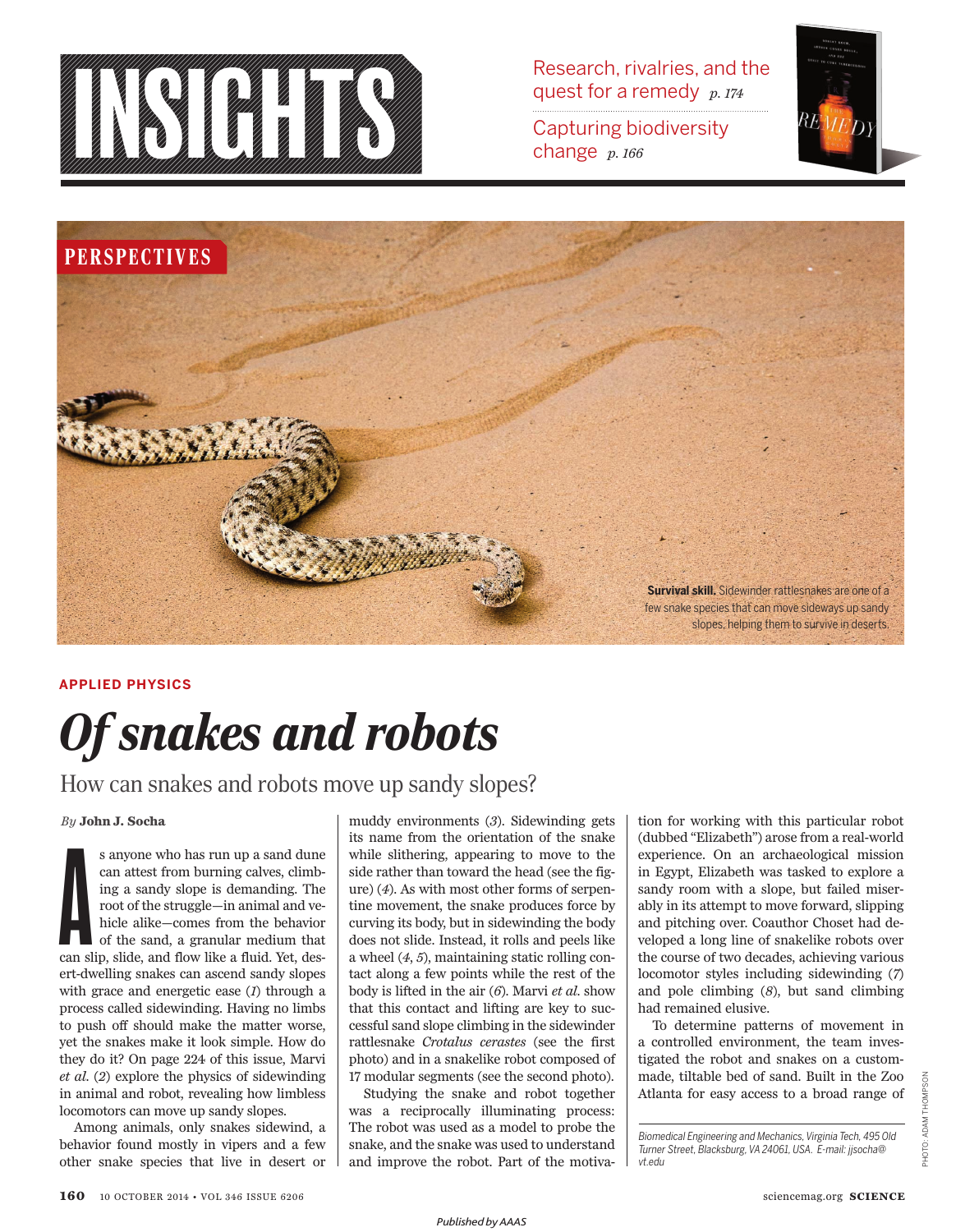

Research, rivalries, and the quest for a remedy *p. 174*





## **APPLIED PHYSICS**

# *Of snakes and robots*

# How can snakes and robots move up sandy slopes?

s anyone who has run up a sand dune<br>can attest from burning calves, climb-<br>ing a sandy slope is demanding. The<br>root of the struggle—in animal and ve-<br>hicle alike—comes from the behavior<br>of the sand, a granular medium that<br> s anyone who has run up a sand dune can attest from burning calves, climbing a sandy slope is demanding. The root of the struggle—in animal and vehicle alike—comes from the behavior of the sand, a granular medium that ert-dwelling snakes can ascend sandy slopes with grace and energetic ease  $(I)$  through a process called sidewinding. Having no limbs to push off should make the matter worse, yet the snakes make it look simple. How do they do it? On page 224 of this issue, Marvi *et al.* (2) explore the physics of sidewinding in animal and robot, revealing how limbless locomotors can move up sandy slopes.

Among animals, only snakes sidewind, a behavior found mostly in vipers and a few other snake species that live in desert or

By **John J. Socha and a state of the state of the muddy environments (3). Sidewinding gets | tion for working with this particular robot** its name from the orientation of the snake while slithering, appearing to move to the side rather than toward the head (see the figure) (4). As with most other forms of serpentine movement, the snake produces force by curving its body, but in sidewinding the body does not slide. Instead, it rolls and peels like a wheel  $(4, 5)$ , maintaining static rolling contact along a few points while the rest of the body is lifted in the air (6). Marvi *et al.* show that this contact and lifting are key to successful sand slope climbing in the sidewinder rattlesnake *Crotalus cerastes* (see the first photo) and in a snakelike robot composed of 17 modular segments (see the second photo).

> Studying the snake and robot together was a reciprocally illuminating process: The robot was used as a model to probe the snake, and the snake was used to understand and improve the robot. Part of the motiva

(dubbed "Elizabeth") arose from a real-world experience. On an archaeological mission in Egypt, Elizabeth was tasked to explore a sandy room with a slope, but failed miserably in its attempt to move forward, slipping and pitching over. Coauthor Choset had developed a long line of snakelike robots over the course of two decades, achieving various locomotor styles including sidewinding (7) and pole climbing (8), but sand climbing had remained elusive.

To determine patterns of movement in a controlled environment, the team investigated the robot and snakes on a custommade, tiltable bed of sand. Built in the Zoo Atlanta for easy access to a broad range of

*Biomedical Engineering and Mechanics, Virginia Tech, 495 Old Turner Street, Blacksburg, VA 24061, USA. E-mail: jjsocha@ vt.edu*